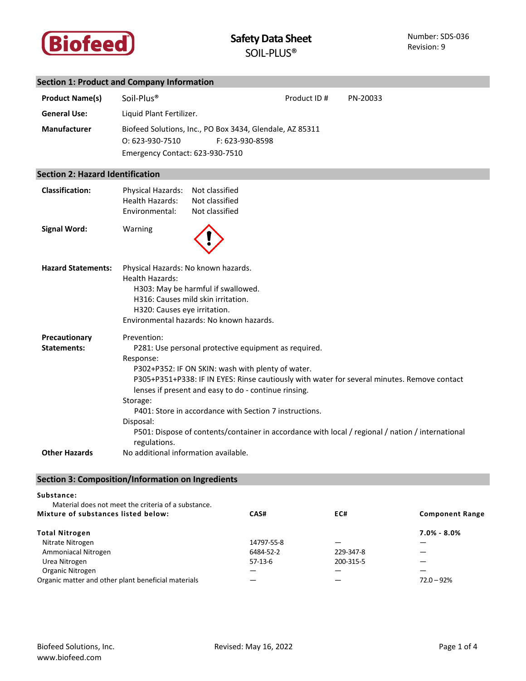

# **Section 1: Product and Company Information**

| <b>Product Name(s)</b><br><b>General Use:</b> | Soil-Plus <sup>®</sup><br>Liquid Plant Fertilizer.            |                                                                             | Product ID# | PN-20033 |
|-----------------------------------------------|---------------------------------------------------------------|-----------------------------------------------------------------------------|-------------|----------|
| <b>Manufacturer</b>                           | $O: 623-930-7510$<br>Emergency Contact: 623-930-7510          | Biofeed Solutions, Inc., PO Box 3434, Glendale, AZ 85311<br>F: 623-930-8598 |             |          |
| <b>Section 2: Hazard Identification</b>       |                                                               |                                                                             |             |          |
| <b>Classification:</b>                        | Physical Hazards:<br><b>Health Hazards:</b><br>Environmental: | Not classified<br>Not classified<br>Not classified                          |             |          |
| <b>Signal Word:</b>                           | Warning                                                       |                                                                             |             |          |

| <b>Hazard Statements:</b> | Physical Hazards: No known hazards.                                                                              |  |  |
|---------------------------|------------------------------------------------------------------------------------------------------------------|--|--|
|                           | Health Hazards:                                                                                                  |  |  |
|                           | H303: May be harmful if swallowed.                                                                               |  |  |
|                           | H316: Causes mild skin irritation.                                                                               |  |  |
|                           | H320: Causes eye irritation.                                                                                     |  |  |
|                           | Environmental hazards: No known hazards.                                                                         |  |  |
| Precautionary             | Prevention:                                                                                                      |  |  |
| Statements:               | P281: Use personal protective equipment as required.                                                             |  |  |
|                           | Response:                                                                                                        |  |  |
|                           | P302+P352: IF ON SKIN: wash with plenty of water.                                                                |  |  |
|                           | P305+P351+P338: IF IN EYES: Rinse cautiously with water for several minutes. Remove contact                      |  |  |
|                           | lenses if present and easy to do - continue rinsing.                                                             |  |  |
|                           | Storage:                                                                                                         |  |  |
|                           | P401: Store in accordance with Section 7 instructions.                                                           |  |  |
|                           | Disposal:                                                                                                        |  |  |
|                           | P501: Dispose of contents/container in accordance with local / regional / nation / international<br>regulations. |  |  |
| <b>Other Hazards</b>      | No additional information available.                                                                             |  |  |

# **Section 3: Composition/Information on Ingredients**

#### **Substance:**

| Material does not meet the criteria of a substance. |            |           |                        |
|-----------------------------------------------------|------------|-----------|------------------------|
| Mixture of substances listed below:                 | CAS#       | EC#       | <b>Component Range</b> |
| <b>Total Nitrogen</b>                               |            |           | $7.0\% - 8.0\%$        |
| Nitrate Nitrogen                                    | 14797-55-8 |           |                        |
| Ammoniacal Nitrogen                                 | 6484-52-2  | 229-347-8 |                        |
| Urea Nitrogen                                       | 57-13-6    | 200-315-5 |                        |
| Organic Nitrogen                                    |            |           |                        |
| Organic matter and other plant beneficial materials |            |           | $72.0 - 92%$           |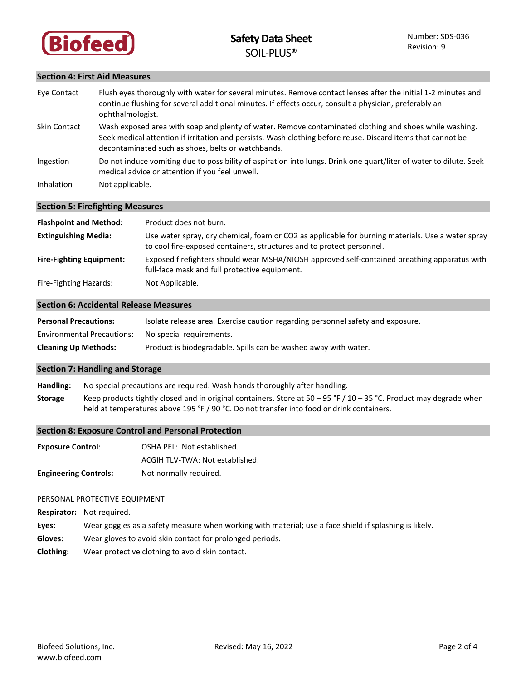

### **Section 4: First Aid Measures**

| Eye Contact  | Flush eyes thoroughly with water for several minutes. Remove contact lenses after the initial 1-2 minutes and<br>continue flushing for several additional minutes. If effects occur, consult a physician, preferably an<br>ophthalmologist.                                 |
|--------------|-----------------------------------------------------------------------------------------------------------------------------------------------------------------------------------------------------------------------------------------------------------------------------|
| Skin Contact | Wash exposed area with soap and plenty of water. Remove contaminated clothing and shoes while washing.<br>Seek medical attention if irritation and persists. Wash clothing before reuse. Discard items that cannot be<br>decontaminated such as shoes, belts or watchbands. |
| Ingestion    | Do not induce vomiting due to possibility of aspiration into lungs. Drink one quart/liter of water to dilute. Seek<br>medical advice or attention if you feel unwell.                                                                                                       |
| Inhalation   | Not applicable.                                                                                                                                                                                                                                                             |

### **Section 5: Firefighting Measures**

| <b>Flashpoint and Method:</b>   | Product does not burn.                                                                                                                                                     |
|---------------------------------|----------------------------------------------------------------------------------------------------------------------------------------------------------------------------|
| <b>Extinguishing Media:</b>     | Use water spray, dry chemical, foam or CO2 as applicable for burning materials. Use a water spray<br>to cool fire-exposed containers, structures and to protect personnel. |
| <b>Fire-Fighting Equipment:</b> | Exposed firefighters should wear MSHA/NIOSH approved self-contained breathing apparatus with<br>full-face mask and full protective equipment.                              |
| Fire-Fighting Hazards:          | Not Applicable.                                                                                                                                                            |

### **Section 6: Accidental Release Measures**

| <b>Personal Precautions:</b>      | Isolate release area. Exercise caution regarding personnel safety and exposure. |
|-----------------------------------|---------------------------------------------------------------------------------|
| <b>Environmental Precautions:</b> | No special requirements.                                                        |
| <b>Cleaning Up Methods:</b>       | Product is biodegradable. Spills can be washed away with water.                 |

### **Section 7: Handling and Storage**

**Handling:** No special precautions are required. Wash hands thoroughly after handling.

**Storage** Keep products tightly closed and in original containers. Store at 50 – 95 °F / 10 – 35 °C. Product may degrade when held at temperatures above 195 °F / 90 °C. Do not transfer into food or drink containers.

### **Section 8: Exposure Control and Personal Protection**

| <b>Exposure Control:</b>     | OSHA PEL: Not established.      |
|------------------------------|---------------------------------|
|                              | ACGIH TLV-TWA: Not established. |
| <b>Engineering Controls:</b> | Not normally required.          |

### PERSONAL PROTECTIVE EQUIPMENT

**Respirator:** Not required. **Eyes:** Wear goggles as a safety measure when working with material; use a face shield if splashing is likely. **Gloves:** Wear gloves to avoid skin contact for prolonged periods.

**Clothing:** Wear protective clothing to avoid skin contact.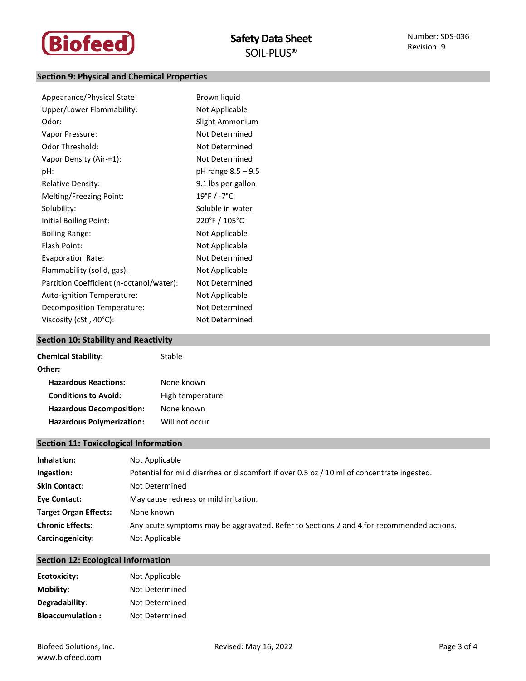

## **Section 9: Physical and Chemical Properties**

| Appearance/Physical State:               | Brown liquid       |
|------------------------------------------|--------------------|
| Upper/Lower Flammability:                | Not Applicable     |
| Odor:                                    | Slight Ammonium    |
| Vapor Pressure:                          | Not Determined     |
| Odor Threshold:                          | Not Determined     |
| Vapor Density (Air-=1):                  | Not Determined     |
| pH:                                      | pH range 8.5 - 9.5 |
| <b>Relative Density:</b>                 | 9.1 lbs per gallon |
| Melting/Freezing Point:                  | 19°F / -7°C        |
| Solubility:                              | Soluble in water   |
| Initial Boiling Point:                   | 220°F / 105°C      |
| <b>Boiling Range:</b>                    | Not Applicable     |
| Flash Point:                             | Not Applicable     |
| <b>Evaporation Rate:</b>                 | Not Determined     |
| Flammability (solid, gas):               | Not Applicable     |
| Partition Coefficient (n-octanol/water): | Not Determined     |
| Auto-ignition Temperature:               | Not Applicable     |
| Decomposition Temperature:               | Not Determined     |
| Viscosity (cSt, $40^{\circ}$ C):         | Not Determined     |

# **Section 10: Stability and Reactivity**

| <b>Chemical Stability:</b>       | Stable           |
|----------------------------------|------------------|
| Other:                           |                  |
| <b>Hazardous Reactions:</b>      | None known       |
| <b>Conditions to Avoid:</b>      | High temperature |
| <b>Hazardous Decomposition:</b>  | None known       |
| <b>Hazardous Polymerization:</b> | Will not occur   |
|                                  |                  |

# **Section 11: Toxicological Information**

| Inhalation:                  | Not Applicable                                                                            |
|------------------------------|-------------------------------------------------------------------------------------------|
| Ingestion:                   | Potential for mild diarrhea or discomfort if over 0.5 oz / 10 ml of concentrate ingested. |
| <b>Skin Contact:</b>         | Not Determined                                                                            |
| <b>Eve Contact:</b>          | May cause redness or mild irritation.                                                     |
| <b>Target Organ Effects:</b> | None known                                                                                |
| <b>Chronic Effects:</b>      | Any acute symptoms may be aggravated. Refer to Sections 2 and 4 for recommended actions.  |
| Carcinogenicity:             | Not Applicable                                                                            |

## **Section 12: Ecological Information**

| Ecotoxicity:            | Not Applicable |
|-------------------------|----------------|
| Mobility:               | Not Determined |
| Degradability:          | Not Determined |
| <b>Bioaccumulation:</b> | Not Determined |